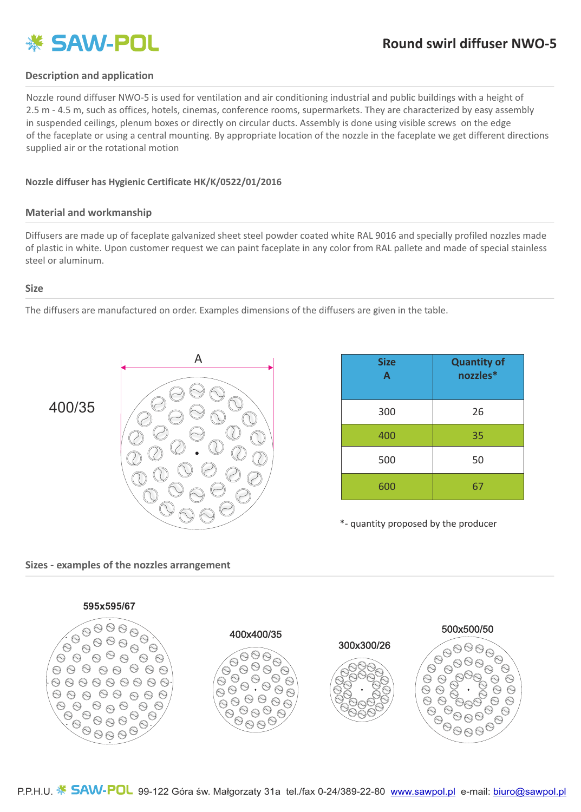

# **Description and application**

Nozzle round diffuser NWO-5 is used for ventilation and air conditioning industrial and public buildings with a height of 2.5 m - 4.5 m, such as offices, hotels, cinemas, conference rooms, supermarkets. They are characterized by easy assembly in suspended ceilings, plenum boxes or directly on circular ducts. Assembly is done using visible screws on the edge of the faceplate or using a central mounting. By appropriate location of the nozzle in the faceplate we get different directions supplied air or the rotational motion

### **Nozzle diffuser has Hygienic Certificate HK/K/0522/01/2016**

### **Material and workmanship**

Diffusers are made up of faceplate galvanized sheet steel powder coated white RAL 9016 and specially profiled nozzles made of plastic in white. Upon customer request we can paint faceplate in any color from RAL pallete and made of special stainless steel or aluminum.

#### **Size**

The diffusers are manufactured on order. Examples dimensions of the diffusers are given in the table.

# 400/35



| <b>Size</b><br>$\mathbf{A}$ | <b>Quantity of</b><br>nozzles* |  |
|-----------------------------|--------------------------------|--|
| 300                         | 26                             |  |
| 400                         | 35                             |  |
| 500                         | 50                             |  |
| 600                         | 67                             |  |

\*- quantity proposed by the producer

**Sizes - examples of the nozzles arrangement**

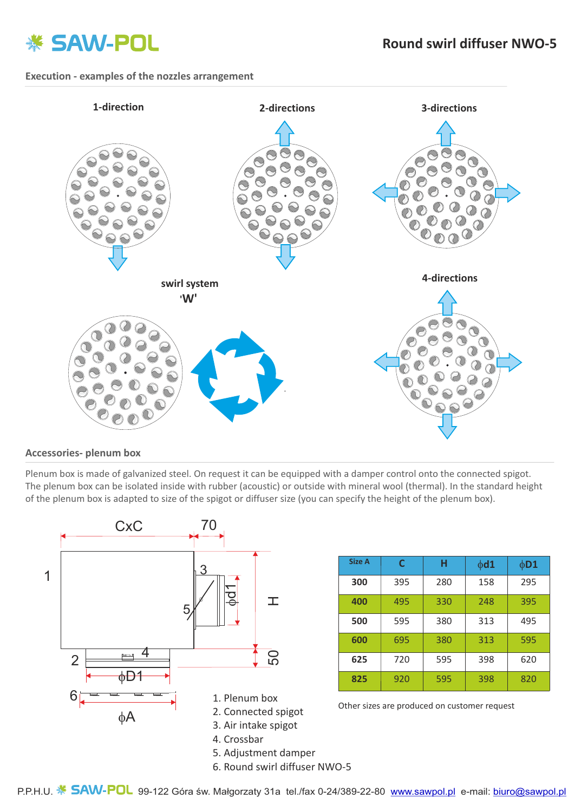

# **Execution - examples of the nozzles arrangement**



## **Accessories- plenum box**

Plenum box is made of galvanized steel. On request it can be equipped with a damper control onto the connected spigot. The plenum box can be isolated inside with rubber (acoustic) or outside with mineral wool (thermal). In the standard height of the plenum box is adapted to size of the spigot or diffuser size (you can specify the height of the plenum box).



6. Round swirl diffuser NWO-5

| Size A | C   | н   | $\phi$ d1 | $\phi$ D1 |
|--------|-----|-----|-----------|-----------|
| 300    | 395 | 280 | 158       | 295       |
| 400    | 495 | 330 | 248       | 395       |
| 500    | 595 | 380 | 313       | 495       |
| 600    | 695 | 380 | 313       | 595       |
| 625    | 720 | 595 | 398       | 620       |
| 825    | 920 | 595 | 398       | 820       |

Other sizes are produced on customer request